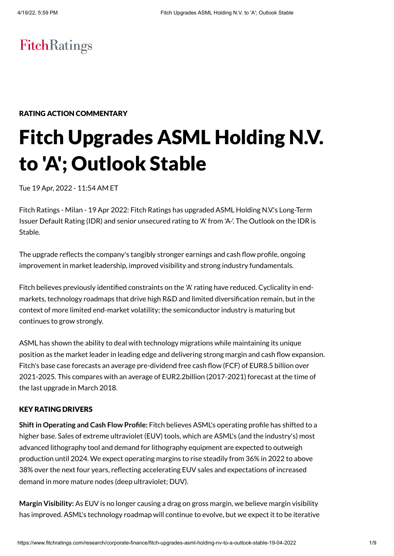## **FitchRatings**

RATING ACTION COMMENTARY

# Fitch Upgrades ASML Holding N.V. to 'A'; Outlook Stable

Tue 19 Apr, 2022 - 11:54 AM ET

Fitch Ratings - Milan - 19 Apr 2022: Fitch Ratings has upgraded ASML Holding N.V.'s Long-Term Issuer Default Rating (IDR) and senior unsecured rating to 'A' from 'A-'. The Outlook on the IDR is Stable.

The upgrade reflects the company's tangibly stronger earnings and cash flow profile, ongoing improvement in market leadership, improved visibility and strong industry fundamentals.

Fitch believes previously identified constraints on the 'A' rating have reduced. Cyclicality in endmarkets, technology roadmaps that drive high R&D and limited diversification remain, but in the context of more limited end-market volatility; the semiconductor industry is maturing but continues to grow strongly.

ASML has shown the ability to deal with technology migrations while maintaining its unique position as the market leader in leading edge and delivering strong margin and cash flow expansion. Fitch's base case forecasts an average pre-dividend free cash flow (FCF) of EUR8.5 billion over 2021-2025. This compares with an average of EUR2.2billion (2017-2021) forecast at the time of the last upgrade in March 2018.

#### KEY RATING DRIVERS

**Shiftin Operating and Cash Flow Profile:** Fitch believes ASML's operating profile has shifted to a higher base. Sales of extreme ultraviolet (EUV) tools, which are ASML's (and the industry's) most advanced lithography tool and demand for lithography equipment are expected to outweigh production until 2024. We expect operating margins to rise steadily from 36% in 2022 to above 38% over the next four years, reflecting accelerating EUV sales and expectations of increased demand in more mature nodes (deep ultraviolet; DUV).

**Margin Visibility:** As EUV is no longer causing a drag on gross margin, we believe margin visibility has improved. ASML's technology roadmap will continue to evolve, but we expect it to be iterative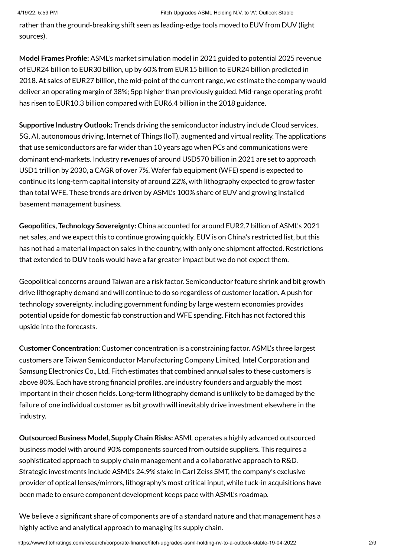rather than the ground-breaking shift seen as leading-edge tools moved to EUV from DUV (light sources).

**Model Frames Profile:** ASML's market simulation model in 2021 guided to potential 2025 revenue of EUR24 billion to EUR30 billion, up by 60% from EUR15 billion to EUR24 billion predicted in 2018. At sales of EUR27 billion, the mid-point of the current range, we estimate the company would deliver an operating margin of 38%; 5pp higher than previously guided. Mid-range operating profit has risen to EUR10.3 billion compared with EUR6.4 billion in the 2018 guidance.

**Supportive Industry Outlook:** Trends driving the semiconductor industry include Cloud services, 5G, AI, autonomous driving, Internet of Things (IoT), augmented and virtual reality. The applications that use semiconductors are far wider than 10 years ago when PCs and communications were dominant end-markets. Industry revenues of around USD570 billion in 2021 are set to approach USD1 trillion by 2030, a CAGR of over 7%. Wafer fab equipment (WFE) spend is expected to continue its long-term capital intensity of around 22%, with lithography expected to grow faster than total WFE. These trends are driven by ASML's 100% share of EUV and growing installed basement management business.

**Geopolitics, Technology Sovereignty:** China accounted for around EUR2.7 billion of ASML's 2021 net sales, and we expect this to continue growing quickly. EUV is on China's restricted list, but this has not had a material impact on sales in the country, with only one shipment affected. Restrictions that extended to DUV tools would have a far greater impact but we do not expect them.

Geopolitical concerns around Taiwan are a risk factor. Semiconductor feature shrink and bit growth drive lithography demand and will continue to do so regardless of customer location. A push for technology sovereignty, including government funding by large western economies provides potential upside for domestic fab construction and WFE spending. Fitch has not factored this upside into the forecasts.

**Customer Concentration**: Customer concentration is a constraining factor. ASML's three largest customers are Taiwan Semiconductor Manufacturing Company Limited, Intel Corporation and Samsung Electronics Co., Ltd. Fitch estimates that combined annual sales to these customers is above 80%. Each have strong financial profiles, are industry founders and arguably the most important in their chosen fields. Long-term lithography demand is unlikely to be damaged by the failure of one individual customer as bit growth will inevitably drive investment elsewhere in the industry.

**Outsourced Business Model, Supply Chain Risks:** ASML operates a highly advanced outsourced business model with around 90% components sourced from outside suppliers. This requires a sophisticated approach to supply chain management and a collaborative approach to R&D. Strategic investments include ASML's 24.9% stake in Carl Zeiss SMT, the company's exclusive provider of optical lenses/mirrors, lithography's most critical input, while tuck-in acquisitions have been made to ensure component development keeps pace with ASML's roadmap.

We believe a significant share of components are of a standard nature and that management has a highly active and analytical approach to managing its supply chain.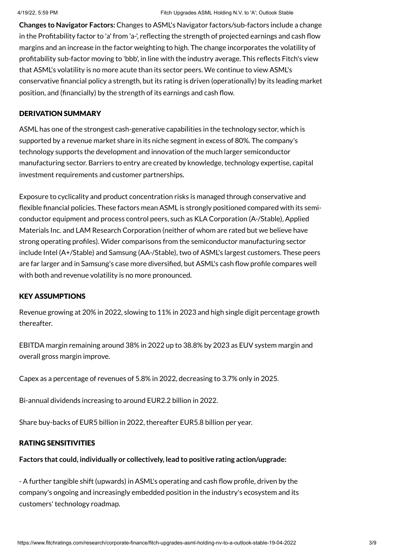**Changes to Navigator Factors:** Changes to ASML's Navigator factors/sub-factors include a change in the Profitability factor to 'a' from 'a-', reflecting the strength of projected earnings and cash flow margins and an increase in the factor weighting to high. The change incorporates the volatility of profitability sub-factor moving to 'bbb', in line with the industry average. This reflects Fitch's view that ASML's volatility is no more acute than its sector peers. We continue to view ASML's conservative financial policy a strength, but its rating is driven (operationally) by its leading market position, and (financially) by the strength of its earnings and cash flow.

#### DERIVATION SUMMARY

ASML has one of the strongest cash-generative capabilities in the technology sector, which is supported by a revenue market share in its niche segment in excess of 80%. The company's technology supports the development and innovation of the much larger semiconductor manufacturing sector. Barriers to entry are created by knowledge, technology expertise, capital investment requirements and customer partnerships.

Exposure to cyclicality and product concentration risks is managed through conservative and flexible financial policies. These factors mean ASML is strongly positioned compared with its semiconductor equipment and process control peers, such as KLA Corporation (A-/Stable), Applied Materials Inc. and LAM Research Corporation (neither of whom are rated but we believe have strong operating profiles). Wider comparisons from the semiconductor manufacturing sector include Intel (A+/Stable) and Samsung (AA-/Stable), two of ASML's largest customers. These peers are far larger and in Samsung's case more diversified, but ASML's cash flow profile compares well with both and revenue volatility is no more pronounced.

#### KEY ASSUMPTIONS

Revenue growing at 20% in 2022, slowing to 11% in 2023 and high single digit percentage growth thereafter.

EBITDA margin remaining around 38% in 2022 up to 38.8% by 2023 as EUV system margin and overall gross margin improve.

Capex as a percentage of revenues of 5.8% in 2022, decreasing to 3.7% only in 2025.

Bi-annual dividends increasing to around EUR2.2 billion in 2022.

Share buy-backs of EUR5 billion in 2022, thereafter EUR5.8 billion per year.

#### RATING SENSITIVITIES

**Factors that could, individually or collectively, lead to positive rating action/upgrade:**

- A further tangible shift (upwards) in ASML's operating and cash flow profile, driven by the company's ongoing and increasingly embedded position in the industry's ecosystem and its customers' technology roadmap.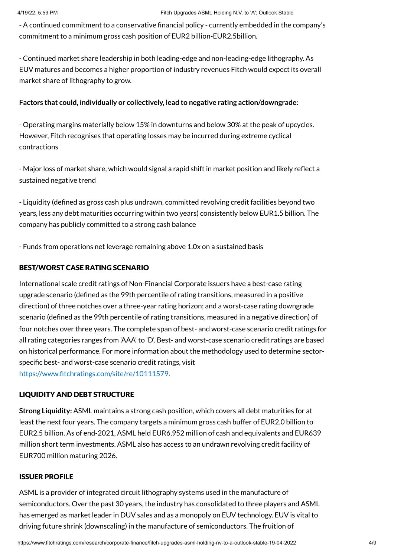- A continued commitment to a conservative financial policy - currently embedded in the company's commitment to a minimum gross cash position of EUR2 billion-EUR2.5billion.

- Continued market share leadership in both leading-edge and non-leading-edge lithography. As EUV matures and becomes a higher proportion of industry revenues Fitch would expect its overall market share of lithography to grow.

#### **Factors that could, individually or collectively, lead to negative rating action/downgrade:**

- Operating margins materially below 15% in downturns and below 30% at the peak of upcycles. However, Fitch recognises that operating losses may be incurred during extreme cyclical contractions

- Major loss of market share, which would signal a rapid shift in market position and likely reflect a sustained negative trend

- Liquidity (defined as gross cash plus undrawn, committed revolving credit facilities beyond two years, less any debt maturities occurring within two years) consistently below EUR1.5 billion. The company has publicly committed to a strong cash balance

- Funds from operations net leverage remaining above 1.0x on a sustained basis

#### BEST/WORST CASE RATING SCENARIO

International scale credit ratings of Non-Financial Corporate issuers have a best-case rating upgrade scenario (defined as the 99th percentile of rating transitions, measured in a positive direction) of three notches over a three-year rating horizon; and a worst-case rating downgrade scenario (defined as the 99th percentile of rating transitions, measured in a negative direction) of four notches over three years. The complete span of best- and worst-case scenario credit ratings for all rating categories ranges from 'AAA' to 'D'. Best- and worst-case scenario credit ratings are based on historical performance. For more information about the methodology used to determine sectorspecific best- and worst-case scenario credit ratings, visit [https://www.fitchratings.com/site/re/10111579.](https://www.fitchratings.com/site/re/10111579)

### LIQUIDITY AND DEBT STRUCTURE

**Strong Liquidity:** ASML maintains a strong cash position, which covers all debt maturities for at least the next four years. The company targets a minimum gross cash buffer of EUR2.0 billion to EUR2.5 billion. As of end-2021, ASML held EUR6,952 million of cash and equivalents and EUR639 million short term investments. ASML also has access to an undrawn revolving credit facility of EUR700 million maturing 2026.

#### ISSUER PROFILE

ASML is a provider of integrated circuit lithography systems used in the manufacture of semiconductors. Over the past 30 years, the industry has consolidated to three players and ASML has emerged as market leader in DUV sales and as a monopoly on EUV technology. EUV is vital to driving future shrink (downscaling) in the manufacture of semiconductors. The fruition of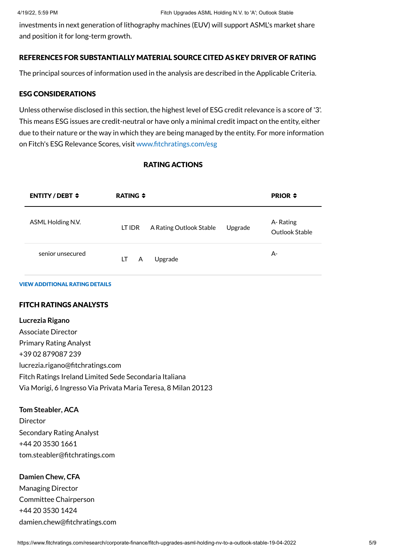investments in next generation of lithography machines (EUV) will support ASML's market share and position it for long-term growth.

#### REFERENCES FOR SUBSTANTIALLY MATERIAL SOURCE CITED AS KEY DRIVER OF RATING

The principal sources of information used in the analysis are described in the Applicable Criteria.

#### ESG CONSIDERATIONS

Unless otherwise disclosed in this section, the highest level of ESG credit relevance is a score of '3'. This means ESG issues are credit-neutral or have only a minimal credit impact on the entity, either due to their nature or the way in which they are being managed by the entity. For more information on Fitch's ESG Relevance Scores, visit [www.fitchratings.com/esg](http://www.fitchratings.com/esg)

#### RATING ACTIONS

| ENTITY/DEBT $\div$ | RATING $\div$                                | <b>PRIOR <math>\div</math></b> |
|--------------------|----------------------------------------------|--------------------------------|
| ASML Holding N.V.  | A Rating Outlook Stable<br>Upgrade<br>LT IDR | A-Rating<br>Outlook Stable     |
| senior unsecured   | LT<br>Upgrade<br>A                           | А-                             |

#### VIEW ADDITIONAL RATING DETAILS

#### FITCH RATINGS ANALYSTS

**Lucrezia Rigano** Associate Director Primary Rating Analyst +39 02 879087 239 lucrezia.rigano@fitchratings.com Fitch Ratings Ireland Limited Sede Secondaria Italiana Via Morigi, 6 Ingresso Via Privata Maria Teresa, 8 Milan 20123

**Tom Steabler, ACA** Director Secondary Rating Analyst +44 20 3530 1661 tom.steabler@fitchratings.com

**Damien Chew, CFA** Managing Director Committee Chairperson +44 20 3530 1424 damien.chew@fitchratings.com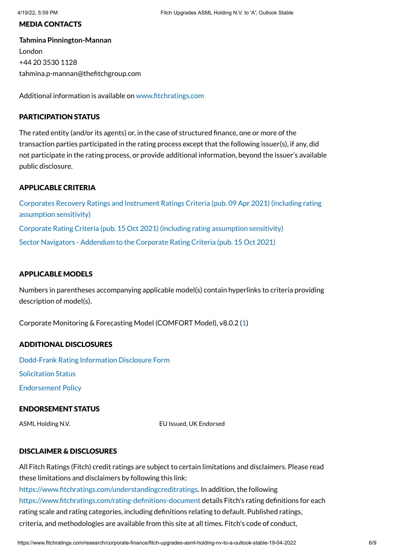#### MEDIA CONTACTS

**Tahmina Pinnington-Mannan** London +44 20 3530 1128 tahmina.p-mannan@thefitchgroup.com

Additional information is available on [www.fitchratings.com](http://www.fitchratings.com/)

#### PARTICIPATION STATUS

The rated entity (and/or its agents) or, in the case of structured finance, one or more of the transaction parties participated in the rating process except that the following issuer(s), if any, did not participate in the rating process, or provide additional information, beyond the issuer's available public disclosure.

#### APPLICABLE CRITERIA

Corporates Recovery Ratings and Instrument [Ratings Criteria](https://www.fitchratings.com/research/corporate-finance/corporates-recovery-ratings-instrument-ratings-criteria-09-04-2021) (pub. 09 Apr 2021) (including rating assumption sensitivity) Corporate Rating Criteria (pub. 15 Oct 2021) (including rating [assumption](https://www.fitchratings.com/research/corporate-finance/corporate-rating-criteria-15-10-2021) sensitivity) Sector Navigators - [Addendum](https://www.fitchratings.com/research/corporate-finance/sector-navigators-addendum-to-corporate-rating-criteria-15-10-2021) to the Corporate Rating Criteria (pub. 15 Oct 2021)

#### APPLICABLE MODELS

Numbers in parentheses accompanying applicable model(s) contain hyperlinks to criteria providing description of model(s).

Corporate Monitoring & Forecasting Model (COMFORT Model), v8.0.2 ([1\)](https://www.fitchratings.com/research/corporate-finance/corporate-rating-criteria-15-10-2021)

#### ADDITIONAL DISCLOSURES

[Dodd-Frank](https://www.fitchratings.com/research/corporate-finance/fitch-upgrades-asml-holding-nv-to-a-outlook-stable-19-04-2022/dodd-frank-disclosure) Rating Information Disclosure Form Solicitation Status [Endorsement](#page-7-0) Policy

#### ENDORSEMENT STATUS

ASML Holding N.V. EU Issued, UK Endorsed

#### DISCLAIMER & DISCLOSURES

All Fitch Ratings (Fitch) credit ratings are subject to certain limitations and disclaimers. Please read these limitations and disclaimers by following this link:

[https://www.fitchratings.com/understandingcreditratings](https://www.fitchratings.com/UNDERSTANDINGCREDITRATINGS). In addition, the following [https://www.fitchratings.com/rating-definitions-document](https://www.fitchratings.com/RATING-DEFINITIONS-DOCUMENT) details Fitch's rating definitions for each rating scale and rating categories, including definitions relating to default. Published ratings, criteria, and methodologies are available from this site at all times. Fitch's code of conduct,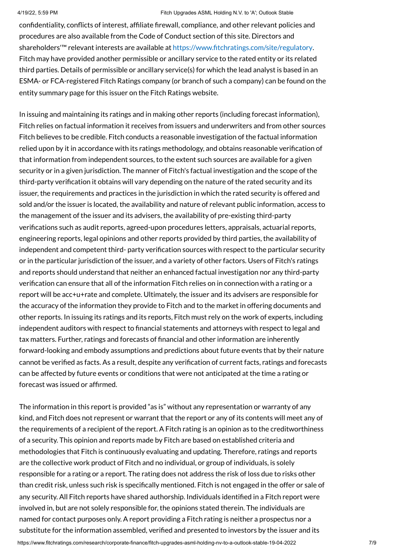#### 4/19/22, 5:59 PM Fitch Upgrades ASML Holding N.V. to 'A'; Outlook Stable

confidentiality, conflicts of interest, affiliate firewall, compliance, and other relevant policies and procedures are also available from the Code of Conduct section of this site. Directors and shareholders'™ relevant interests are available at [https://www.fitchratings.com/site/regulatory](https://www.fitchratings.com/SITE/REGULATORY). Fitch may have provided another permissible or ancillary service to the rated entity or its related third parties. Details of permissible or ancillary service(s) for which the lead analyst is based in an ESMA- or FCA-registered Fitch Ratings company (or branch of such a company) can be found on the entity summary page for this issuer on the Fitch Ratings website.

In issuing and maintaining its ratings and in making other reports (including forecast information), Fitch relies on factual information it receives from issuers and underwriters and from other sources Fitch believes to be credible. Fitch conducts a reasonable investigation of the factual information relied upon by it in accordance with its ratings methodology, and obtains reasonable verification of that information from independent sources, to the extent such sources are available for a given security or in a given jurisdiction. The manner of Fitch's factual investigation and the scope of the third-party verification it obtains will vary depending on the nature of the rated security and its issuer, the requirements and practices in the jurisdiction in which the rated security is offered and sold and/or the issuer is located, the availability and nature of relevant public information, access to the management of the issuer and its advisers, the availability of pre-existing third-party verifications such as audit reports, agreed-upon procedures letters, appraisals, actuarial reports, engineering reports, legal opinions and other reports provided by third parties, the availability of independent and competent third- party verification sources with respect to the particular security or in the particular jurisdiction of the issuer, and a variety of other factors. Users of Fitch's ratings and reports should understand that neither an enhanced factual investigation nor any third-party verification can ensure that all of the information Fitch relies on in connection with a rating or a report will be acc+u+rate and complete. Ultimately, the issuer and its advisers are responsible for the accuracy of the information they provide to Fitch and to the market in offering documents and other reports. In issuing its ratings and its reports, Fitch must rely on the work of experts, including independent auditors with respect to financial statements and attorneys with respect to legal and tax matters. Further, ratings and forecasts of financial and other information are inherently forward-looking and embody assumptions and predictions about future events that by their nature cannot be verified as facts. As a result, despite any verification of current facts, ratings and forecasts can be affected by future events or conditions that were not anticipated at the time a rating or forecast was issued or affirmed.

The information in this report is provided "as is" without any representation or warranty of any kind, and Fitch does not represent or warrant that the report or any of its contents will meet any of the requirements of a recipient of the report. A Fitch rating is an opinion as to the creditworthiness of a security. This opinion and reports made by Fitch are based on established criteria and methodologies that Fitch is continuously evaluating and updating. Therefore, ratings and reports are the collective work product of Fitch and no individual, or group of individuals, is solely responsible for a rating or a report. The rating does not address the risk of loss due to risks other than credit risk, unless such risk is specifically mentioned. Fitch is not engaged in the offer or sale of any security. All Fitch reports have shared authorship. Individuals identified in a Fitch report were involved in, but are not solely responsible for, the opinions stated therein. The individuals are named for contact purposes only. A report providing a Fitch rating is neither a prospectus nor a substitute for the information assembled, verified and presented to investors by the issuer and its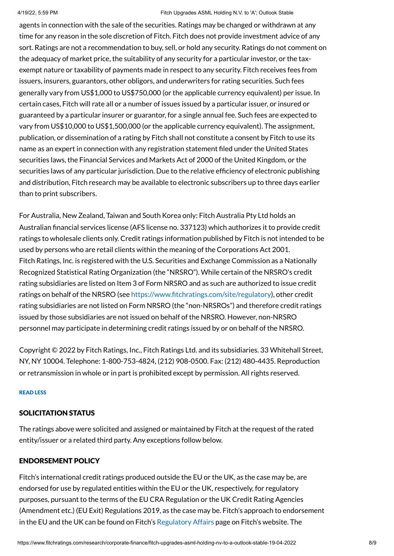agents in connection with the sale of the securities. Ratings may be changed or withdrawn at any time for any reason in the sole discretion of Fitch. Fitch does not provide investment advice of any sort. Ratings are not a recommendation to buy, sell, or hold any security. Ratings do not comment on the adequacy of market price, the suitability of any security for a particular investor, or the taxexempt nature or taxability of payments made in respect to any security. Fitch receives fees from issuers, insurers, guarantors, other obligors, and underwriters for rating securities. Such fees generally vary from US\$1,000 to US\$750,000 (or the applicable currency equivalent) per issue. In certain cases, Fitch will rate all or a number of issues issued by a particular issuer, or insured or guaranteed by a particular insurer or guarantor, for a single annual fee. Such fees are expected to vary from US\$10,000 to US\$1,500,000 (or the applicable currency equivalent). The assignment, publication, or dissemination of a rating by Fitch shall not constitute a consent by Fitch to use its name as an expert in connection with any registration statement filed under the United States securities laws, the Financial Services and Markets Act of 2000 of the United Kingdom, or the securities laws of any particular jurisdiction. Due to the relative efficiency of electronic publishing and distribution, Fitch research may be available to electronic subscribers up to three days earlier than to print subscribers.

For Australia, New Zealand, Taiwan and South Korea only: Fitch Australia Pty Ltd holds an Australian financial services license (AFS license no. 337123) which authorizes it to provide credit ratings to wholesale clients only. Credit ratings information published by Fitch is not intended to be used by persons who are retail clients within the meaning of the Corporations Act 2001. Fitch Ratings, Inc. is registered with the U.S. Securities and Exchange Commission as a Nationally Recognized Statistical Rating Organization (the "NRSRO"). While certain of the NRSRO's credit rating subsidiaries are listed on Item 3 of Form NRSRO and as such are authorized to issue credit ratings on behalf of the NRSRO (see <https://www.fitchratings.com/site/regulatory>), other credit rating subsidiaries are not listed on Form NRSRO (the "non-NRSROs") and therefore credit ratings issued by those subsidiaries are not issued on behalf of the NRSRO. However, non-NRSRO personnel may participate in determining credit ratings issued by or on behalf of the NRSRO.

Copyright © 2022 by Fitch Ratings, Inc., Fitch Ratings Ltd. and its subsidiaries. 33 Whitehall Street, NY, NY 10004. Telephone: 1-800-753-4824, (212) 908-0500. Fax: (212) 480-4435. Reproduction or retransmission in whole or in part is prohibited except by permission. All rights reserved.

#### READ LESS

#### SOLICITATION STATUS

The ratings above were solicited and assigned or maintained by Fitch at the request of the rated entity/issuer or a related third party. Any exceptions follow below.

#### <span id="page-7-0"></span>ENDORSEMENT POLICY

Fitch's international credit ratings produced outside the EU or the UK, as the case may be, are endorsed for use by regulated entities within the EU or the UK, respectively, for regulatory purposes, pursuant to the terms of the EU CRA Regulation or the UK Credit Rating Agencies (Amendment etc.) (EU Exit) Regulations 2019, as the case may be. Fitch's approach to endorsement in the EU and the UK can be found on Fitch's [Regulatory](https://www.fitchratings.com/regulatory) Affairs page on Fitch's website. The